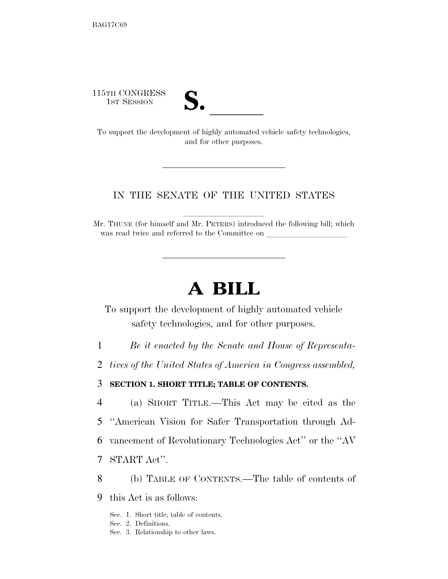115TH CONGRESS



15TH CONGRESS<br>
1ST SESSION<br>
To support the development of highly automated vehicle safety technologies, and for other purposes.

# IN THE SENATE OF THE UNITED STATES

Mr. THUNE (for himself and Mr. PETERS) introduced the following bill; which was read twice and referred to the Committee on

# **A BILL**

To support the development of highly automated vehicle safety technologies, and for other purposes.

- 1 *Be it enacted by the Senate and House of Representa-*
- 2 *tives of the United States of America in Congress assembled,*

3 **SECTION 1. SHORT TITLE; TABLE OF CONTENTS.** 

 (a) SHORT TITLE.—This Act may be cited as the ''American Vision for Safer Transportation through Ad- vancement of Revolutionary Technologies Act'' or the ''AV START Act''.

- 8 (b) TABLE OF CONTENTS.—The table of contents of
- 9 this Act is as follows:
	- Sec. 1. Short title; table of contents.
	- Sec. 2. Definitions.
	- Sec. 3. Relationship to other laws.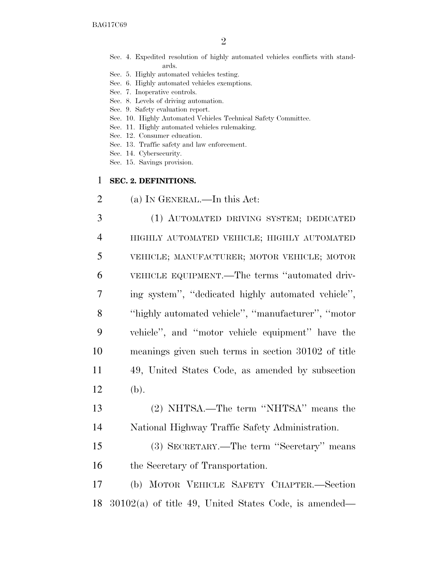- Sec. 4. Expedited resolution of highly automated vehicles conflicts with standards.
- Sec. 5. Highly automated vehicles testing.
- Sec. 6. Highly automated vehicles exemptions.
- Sec. 7. Inoperative controls.
- Sec. 8. Levels of driving automation.
- Sec. 9. Safety evaluation report.
- Sec. 10. Highly Automated Vehicles Technical Safety Committee.
- Sec. 11. Highly automated vehicles rulemaking.
- Sec. 12. Consumer education.
- Sec. 13. Traffic safety and law enforcement.
- Sec. 14. Cybersecurity.
- Sec. 15. Savings provision.

### 1 **SEC. 2. DEFINITIONS.**

2 (a) IN GENERAL.—In this Act:

 (1) AUTOMATED DRIVING SYSTEM; DEDICATED HIGHLY AUTOMATED VEHICLE; HIGHLY AUTOMATED VEHICLE; MANUFACTURER; MOTOR VEHICLE; MOTOR VEHICLE EQUIPMENT.—The terms ''automated driv- ing system'', ''dedicated highly automated vehicle'', ''highly automated vehicle'', ''manufacturer'', ''motor vehicle'', and ''motor vehicle equipment'' have the meanings given such terms in section 30102 of title 49, United States Code, as amended by subsection 12 (b).

- 13 (2) NHTSA.—The term ''NHTSA'' means the 14 National Highway Traffic Safety Administration.
- 15 (3) SECRETARY.—The term ''Secretary'' means 16 the Secretary of Transportation.

17 (b) MOTOR VEHICLE SAFETY CHAPTER.—Section 18 30102(a) of title 49, United States Code, is amended—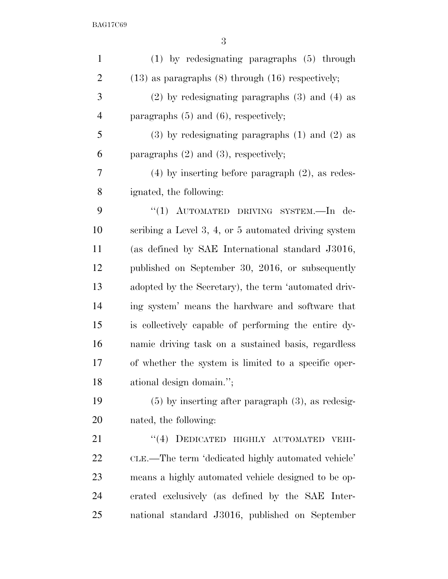| $\mathbf{1}$   | $(1)$ by redesignating paragraphs $(5)$ through           |
|----------------|-----------------------------------------------------------|
| $\overline{2}$ | $(13)$ as paragraphs $(8)$ through $(16)$ respectively;   |
| 3              | $(2)$ by redesignating paragraphs $(3)$ and $(4)$ as      |
| $\overline{4}$ | paragraphs $(5)$ and $(6)$ , respectively;                |
| 5              | $(3)$ by redesignating paragraphs $(1)$ and $(2)$ as      |
| 6              | paragraphs $(2)$ and $(3)$ , respectively;                |
| 7              | $(4)$ by inserting before paragraph $(2)$ , as redes-     |
| 8              | ignated, the following:                                   |
| 9              | "(1) AUTOMATED DRIVING SYSTEM.-In de-                     |
| 10             | scribing a Level $3, 4$ , or $5$ automated driving system |
| 11             | (as defined by SAE International standard J3016,          |
| 12             | published on September 30, 2016, or subsequently          |
| 13             | adopted by the Secretary), the term 'automated driv-      |
| 14             | ing system' means the hardware and software that          |
| 15             | is collectively capable of performing the entire dy-      |
| 16             | namic driving task on a sustained basis, regardless       |
| 17             | of whether the system is limited to a specific oper-      |
| 18             | ational design domain.";                                  |
| 19             | $(5)$ by inserting after paragraph $(3)$ , as redesig-    |
| 20             | nated, the following:                                     |
| 21             | "(4) DEDICATED HIGHLY AUTOMATED<br>VEHI-                  |
| 22             | CLE.—The term 'dedicated highly automated vehicle'        |
| 23             | means a highly automated vehicle designed to be op-       |
| 24             | erated exclusively (as defined by the SAE Inter-          |
| 25             | national standard J3016, published on September           |
|                |                                                           |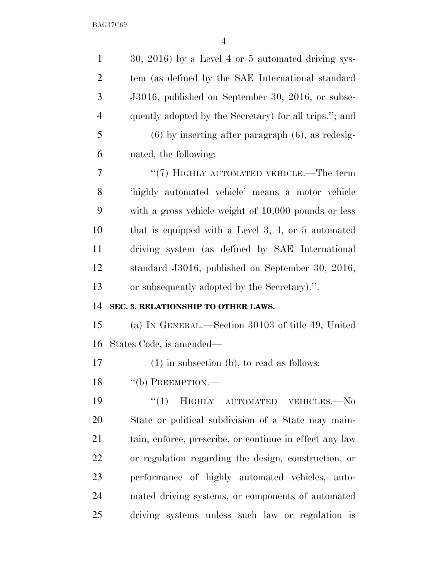| $\mathbf{1}$   | 30, 2016) by a Level 4 or 5 automated driving sys-      |
|----------------|---------------------------------------------------------|
| $\overline{2}$ | tem (as defined by the SAE International standard       |
| 3              | J3016, published on September 30, 2016, or subse-       |
| $\overline{4}$ | quently adopted by the Secretary) for all trips."; and  |
| 5              | $(6)$ by inserting after paragraph $(6)$ , as redesig-  |
| 6              | nated, the following:                                   |
| 7              | "(7) HIGHLY AUTOMATED VEHICLE.—The term                 |
| 8              | 'highly automated vehicle' means a motor vehicle        |
| 9              | with a gross vehicle weight of $10,000$ pounds or less  |
| 10             | that is equipped with a Level 3, 4, or $5$ automated    |
| 11             | driving system (as defined by SAE International         |
| 12             | standard J3016, published on September 30, 2016,        |
| 13             | or subsequently adopted by the Secretary).".            |
| 14             | SEC. 3. RELATIONSHIP TO OTHER LAWS.                     |
|                |                                                         |
| 15             | (a) IN GENERAL.—Section 30103 of title 49, United       |
| 16             | States Code, is amended—                                |
| 17             | $(1)$ in subsection (b), to read as follows:            |
| 18             | $``$ (b) PREEMPTION.—                                   |
| 19             | ``(1)<br>HIGHLY<br>AUTOMATED VEHICLES.-No               |
| 20             | State or political subdivision of a State may main-     |
| 21             | tain, enforce, prescribe, or continue in effect any law |
| 22             | or regulation regarding the design, construction, or    |
| 23             | performance of highly automated vehicles, auto-         |
| 24             | mated driving systems, or components of automated       |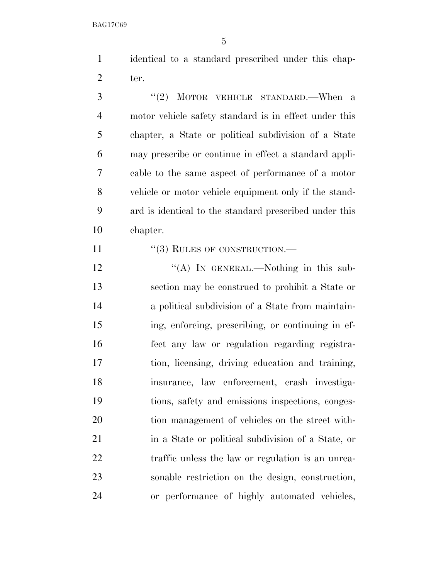identical to a standard prescribed under this chap-ter.

3 "(2) MOTOR VEHICLE STANDARD.—When a motor vehicle safety standard is in effect under this chapter, a State or political subdivision of a State may prescribe or continue in effect a standard appli- cable to the same aspect of performance of a motor vehicle or motor vehicle equipment only if the stand- ard is identical to the standard prescribed under this chapter.

11 "(3) RULES OF CONSTRUCTION.—

12 "(A) IN GENERAL.—Nothing in this sub- section may be construed to prohibit a State or a political subdivision of a State from maintain- ing, enforcing, prescribing, or continuing in ef- fect any law or regulation regarding registra- tion, licensing, driving education and training, insurance, law enforcement, crash investiga- tions, safety and emissions inspections, conges- tion management of vehicles on the street with- in a State or political subdivision of a State, or 22 traffic unless the law or regulation is an unrea- sonable restriction on the design, construction, or performance of highly automated vehicles,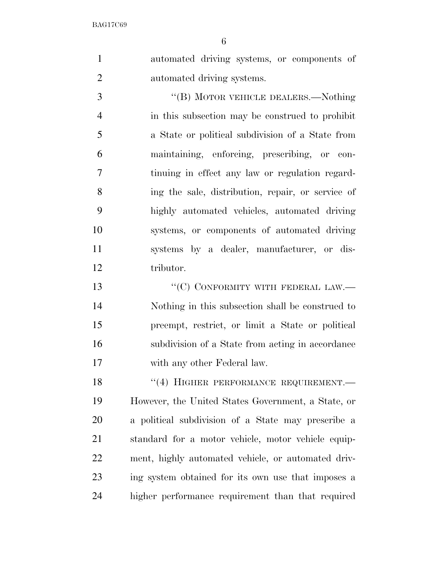automated driving systems, or components of automated driving systems.

3 "(B) MOTOR VEHICLE DEALERS.—Nothing in this subsection may be construed to prohibit a State or political subdivision of a State from maintaining, enforcing, prescribing, or con- tinuing in effect any law or regulation regard- ing the sale, distribution, repair, or service of highly automated vehicles, automated driving systems, or components of automated driving systems by a dealer, manufacturer, or dis-tributor.

13 "'(C) CONFORMITY WITH FEDERAL LAW.— Nothing in this subsection shall be construed to preempt, restrict, or limit a State or political subdivision of a State from acting in accordance with any other Federal law.

18 "(4) HIGHER PERFORMANCE REQUIREMENT. However, the United States Government, a State, or a political subdivision of a State may prescribe a standard for a motor vehicle, motor vehicle equip- ment, highly automated vehicle, or automated driv- ing system obtained for its own use that imposes a higher performance requirement than that required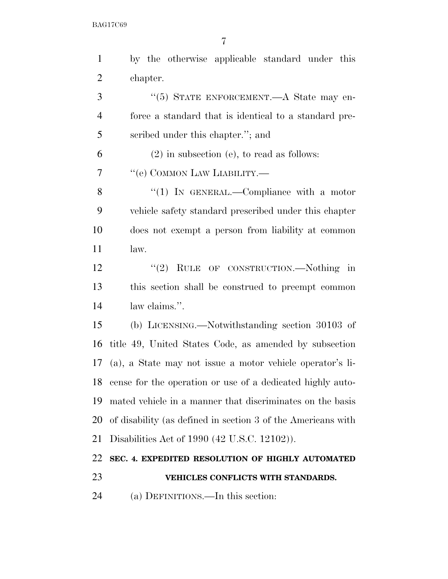| $\mathbf{1}$   | by the otherwise applicable standard under this               |
|----------------|---------------------------------------------------------------|
| $\overline{2}$ | chapter.                                                      |
| 3              | "(5) STATE ENFORCEMENT.—A State may en-                       |
| 4              | force a standard that is identical to a standard pre-         |
| 5              | scribed under this chapter."; and                             |
| 6              | $(2)$ in subsection (e), to read as follows:                  |
| 7              | "(e) COMMON LAW LIABILITY.—                                   |
| 8              | "(1) IN GENERAL.—Compliance with a motor                      |
| 9              | vehicle safety standard prescribed under this chapter         |
| 10             | does not exempt a person from liability at common             |
| 11             | law.                                                          |
| 12             | "(2) RULE OF CONSTRUCTION.—Nothing in                         |
| 13             | this section shall be construed to preempt common             |
| 14             | law claims.".                                                 |
| 15             | (b) LICENSING.—Notwithstanding section 30103 of               |
| 16             | title 49, United States Code, as amended by subsection        |
| 17             | (a), a State may not issue a motor vehicle operator's li-     |
|                | 18 cense for the operation or use of a dedicated highly auto- |
| 19             | mated vehicle in a manner that discriminates on the basis     |
| 20             | of disability (as defined in section 3 of the Americans with  |
| 21             | Disabilities Act of 1990 (42 U.S.C. 12102)).                  |
| 22             | SEC. 4. EXPEDITED RESOLUTION OF HIGHLY AUTOMATED              |
| 23             | VEHICLES CONFLICTS WITH STANDARDS.                            |
| 24             | (a) DEFINITIONS.—In this section:                             |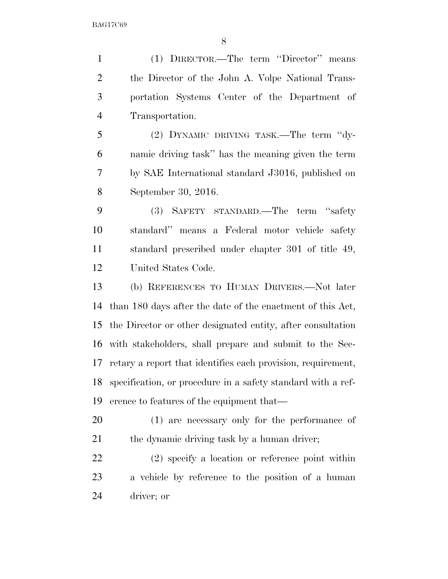(1) DIRECTOR.—The term ''Director'' means the Director of the John A. Volpe National Trans- portation Systems Center of the Department of Transportation. (2) DYNAMIC DRIVING TASK.—The term ''dy-

 namic driving task'' has the meaning given the term by SAE International standard J3016, published on September 30, 2016.

 (3) SAFETY STANDARD.—The term ''safety standard'' means a Federal motor vehicle safety standard prescribed under chapter 301 of title 49, United States Code.

 (b) REFERENCES TO HUMAN DRIVERS.—Not later than 180 days after the date of the enactment of this Act, the Director or other designated entity, after consultation with stakeholders, shall prepare and submit to the Sec- retary a report that identifies each provision, requirement, specification, or procedure in a safety standard with a ref-erence to features of the equipment that—

 (1) are necessary only for the performance of 21 the dynamic driving task by a human driver;

 (2) specify a location or reference point within a vehicle by reference to the position of a human driver; or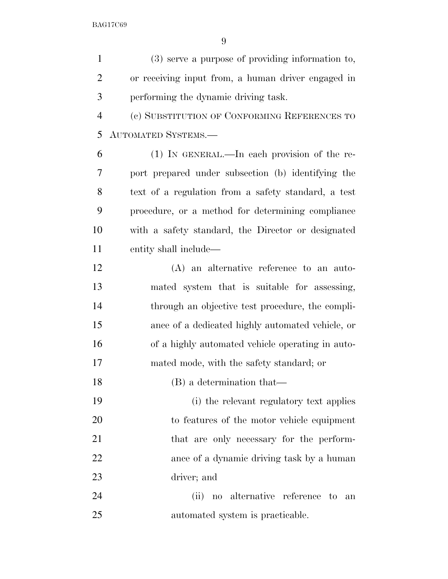(3) serve a purpose of providing information to, or receiving input from, a human driver engaged in performing the dynamic driving task. (c) SUBSTITUTION OF CONFORMING REFERENCES TO AUTOMATED SYSTEMS.—

 (1) IN GENERAL.—In each provision of the re- port prepared under subsection (b) identifying the text of a regulation from a safety standard, a test procedure, or a method for determining compliance with a safety standard, the Director or designated entity shall include—

 (A) an alternative reference to an auto- mated system that is suitable for assessing, through an objective test procedure, the compli- ance of a dedicated highly automated vehicle, or of a highly automated vehicle operating in auto-mated mode, with the safety standard; or

(B) a determination that—

 (i) the relevant regulatory text applies to features of the motor vehicle equipment 21 that are only necessary for the perform- ance of a dynamic driving task by a human driver; and

 (ii) no alternative reference to an automated system is practicable.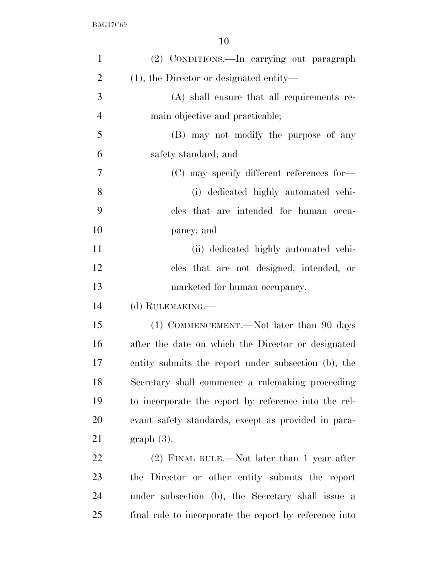| (2) CONDITIONS.—In carrying out paragraph              |
|--------------------------------------------------------|
| $(1)$ , the Director or designated entity—             |
| $(A)$ shall ensure that all requirements re-           |
| main objective and practicable;                        |
| (B) may not modify the purpose of any                  |
| safety standard; and                                   |
| (C) may specify different references for-              |
| (i) dedicated highly automated vehi-                   |
| cles that are intended for human occu-                 |
| pancy; and                                             |
| (ii) dedicated highly automated vehi-                  |
| cles that are not designed, intended, or               |
| marketed for human occupancy.                          |
| (d) RULEMAKING.—                                       |
| (1) COMMENCEMENT.—Not later than 90 days               |
| after the date on which the Director or designated     |
| entity submits the report under subsection (b), the    |
| Secretary shall commence a rulemaking proceeding       |
| to incorporate the report by reference into the rel-   |
| evant safety standards, except as provided in para-    |
| $graph(3)$ .                                           |
| $(2)$ FINAL RULE.—Not later than 1 year after          |
| the Director or other entity submits the report        |
| under subsection (b), the Secretary shall issue a      |
| final rule to incorporate the report by reference into |
|                                                        |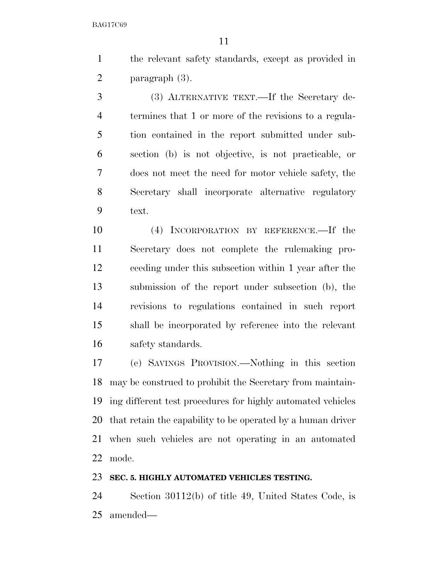the relevant safety standards, except as provided in paragraph (3).

 (3) ALTERNATIVE TEXT.—If the Secretary de- termines that 1 or more of the revisions to a regula- tion contained in the report submitted under sub- section (b) is not objective, is not practicable, or does not meet the need for motor vehicle safety, the Secretary shall incorporate alternative regulatory text.

 (4) INCORPORATION BY REFERENCE.—If the Secretary does not complete the rulemaking pro- ceeding under this subsection within 1 year after the submission of the report under subsection (b), the revisions to regulations contained in such report shall be incorporated by reference into the relevant safety standards.

 (e) SAVINGS PROVISION.—Nothing in this section may be construed to prohibit the Secretary from maintain- ing different test procedures for highly automated vehicles that retain the capability to be operated by a human driver when such vehicles are not operating in an automated mode.

### **SEC. 5. HIGHLY AUTOMATED VEHICLES TESTING.**

 Section 30112(b) of title 49, United States Code, is amended—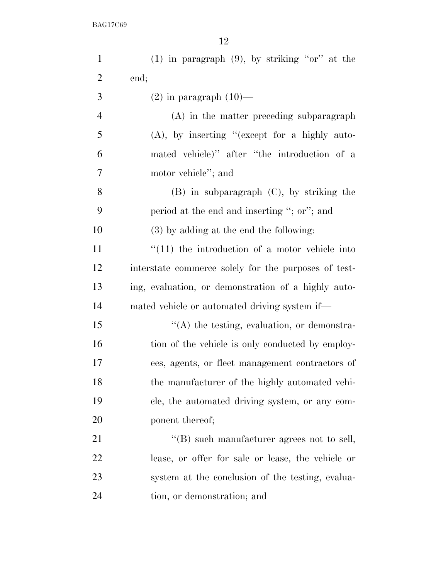| $\mathbf{1}$   | $(1)$ in paragraph $(9)$ , by striking "or" at the   |
|----------------|------------------------------------------------------|
| $\overline{2}$ | end;                                                 |
| 3              | $(2)$ in paragraph $(10)$ —                          |
| $\overline{4}$ | (A) in the matter preceding subparagraph             |
| 5              | $(A)$ , by inserting "(except for a highly auto-     |
| 6              | mated vehicle)" after "the introduction of a         |
| 7              | motor vehicle"; and                                  |
| 8              | $(B)$ in subparagraph $(C)$ , by striking the        |
| 9              | period at the end and inserting "; or"; and          |
| 10             | (3) by adding at the end the following:              |
| 11             | $\lq(11)$ the introduction of a motor vehicle into   |
| 12             | interstate commerce solely for the purposes of test- |
| 13             | ing, evaluation, or demonstration of a highly auto-  |
| 14             | mated vehicle or automated driving system if—        |
| 15             | $\lq\lq$ the testing, evaluation, or demonstra-      |
| 16             | tion of the vehicle is only conducted by employ-     |
| 17             | ees, agents, or fleet management contractors of      |
| 18             | the manufacturer of the highly automated vehi-       |
| 19             | cle, the automated driving system, or any com-       |
| 20             | ponent thereof;                                      |
| 21             | $\lq\lq$ such manufacturer agrees not to sell,       |
| 22             | lease, or offer for sale or lease, the vehicle or    |
| 23             | system at the conclusion of the testing, evalua-     |
| 24             | tion, or demonstration; and                          |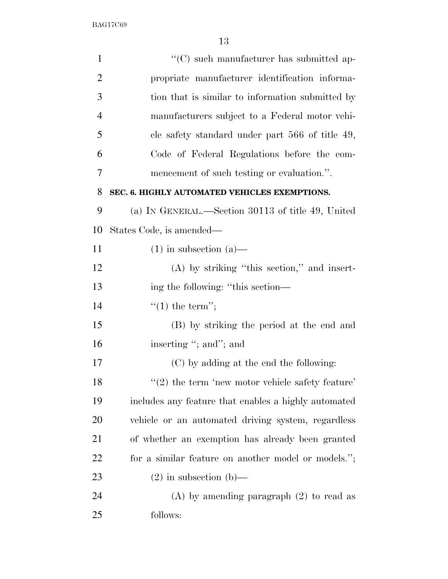| $\mathbf{1}$   | "(C) such manufacturer has submitted ap-             |
|----------------|------------------------------------------------------|
| $\overline{2}$ | propriate manufacturer identification informa-       |
| 3              | tion that is similar to information submitted by     |
| $\overline{4}$ | manufacturers subject to a Federal motor vehi-       |
| 5              | cle safety standard under part 566 of title 49,      |
| 6              | Code of Federal Regulations before the com-          |
| 7              | mencement of such testing or evaluation.".           |
| 8              | SEC. 6. HIGHLY AUTOMATED VEHICLES EXEMPTIONS.        |
| 9              | (a) IN GENERAL.—Section 30113 of title 49, United    |
| 10             | States Code, is amended—                             |
| 11             | $(1)$ in subsection $(a)$ —                          |
| 12             | $(A)$ by striking "this section," and insert-        |
| 13             | ing the following: "this section—                    |
| 14             | $f'(1)$ the term";                                   |
| 15             | (B) by striking the period at the end and            |
| 16             | inserting "; and"; and                               |
| 17             | (C) by adding at the end the following:              |
| 18             | $"(2)$ the term 'new motor vehicle safety feature'   |
| 19             | includes any feature that enables a highly automated |
| 20             | vehicle or an automated driving system, regardless   |
| 21             | of whether an exemption has already been granted     |
| 22             | for a similar feature on another model or models.";  |
| 23             | $(2)$ in subsection $(b)$ —                          |
| 24             | $(A)$ by amending paragraph $(2)$ to read as         |
| 25             | follows:                                             |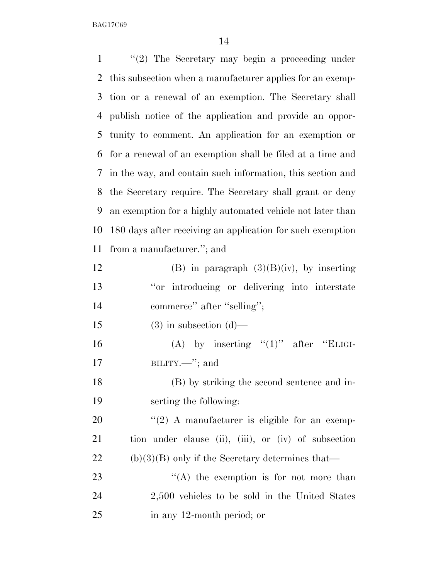| $\mathbf{1}$ | " $(2)$ The Secretary may begin a proceeding under         |
|--------------|------------------------------------------------------------|
| 2            | this subsection when a manufacturer applies for an exemp-  |
| 3            | tion or a renewal of an exemption. The Secretary shall     |
| 4            | publish notice of the application and provide an oppor-    |
| 5            | tunity to comment. An application for an exemption or      |
| 6            | for a renewal of an exemption shall be filed at a time and |
| 7            | in the way, and contain such information, this section and |
| 8            | the Secretary require. The Secretary shall grant or deny   |
| 9            | an exemption for a highly automated vehicle not later than |
| 10           | 180 days after receiving an application for such exemption |
| 11           | from a manufacturer."; and                                 |
| 12           | (B) in paragraph $(3)(B)(iv)$ , by inserting               |
| 13           | "or introducing or delivering into interstate              |
| 14           | commerce" after "selling";                                 |
| 15           | $(3)$ in subsection $(d)$ —                                |
| 16           | (A) by inserting " $(1)$ " after "ELIGI-                   |
| 17           | BILITY.-"; and                                             |
| 18           | (B) by striking the second sentence and in-                |
| 19           | serting the following:                                     |
| 20           | $\lq(2)$ A manufacturer is eligible for an exemp-          |
| 21           | tion under clause (ii), (iii), or (iv) of subsection       |
| 22           | $(b)(3)(B)$ only if the Secretary determines that—         |
| 23           | $\lq\lq$ the exemption is for not more than                |
| 24           | 2,500 vehicles to be sold in the United States             |
| 25           | in any 12-month period; or                                 |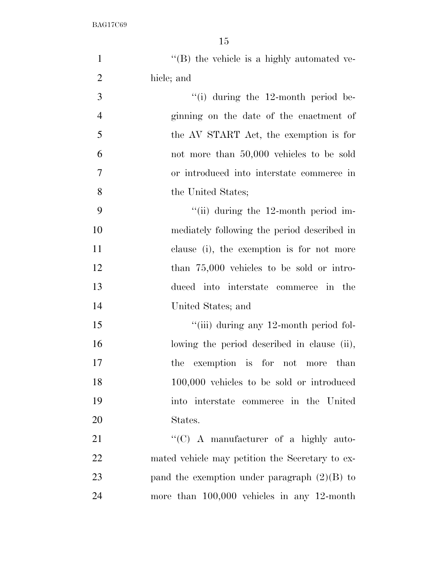| $\mathbf{1}$   | $\lq\lq (B)$ the vehicle is a highly automated ve- |
|----------------|----------------------------------------------------|
| $\overline{2}$ | hicle; and                                         |
| 3              | "(i) during the $12$ -month period be-             |
| $\overline{4}$ | ginning on the date of the enactment of            |
| 5              | the AV START Act, the exemption is for             |
| 6              | not more than 50,000 vehicles to be sold           |
| $\overline{7}$ | or introduced into interstate commerce in          |
| 8              | the United States;                                 |
| 9              | "(ii) during the $12$ -month period im-            |
| 10             | mediately following the period described in        |
| 11             | clause (i), the exemption is for not more          |
| 12             | than $75,000$ vehicles to be sold or intro-        |
| 13             | duced into interstate commerce in the              |
| 14             | United States; and                                 |
| 15             | "(iii) during any 12-month period fol-             |
| 16             | lowing the period described in clause (ii),        |
| 17             | the exemption is for not more than                 |
| 18             | 100,000 vehicles to be sold or introduced          |
| 19             | into interstate commerce in the United             |
| 20             | States.                                            |
| 21             | " $(C)$ A manufacturer of a highly auto-           |
| 22             | mated vehicle may petition the Secretary to ex-    |
| 23             | pand the exemption under paragraph $(2)(B)$ to     |
| 24             | more than $100,000$ vehicles in any 12-month       |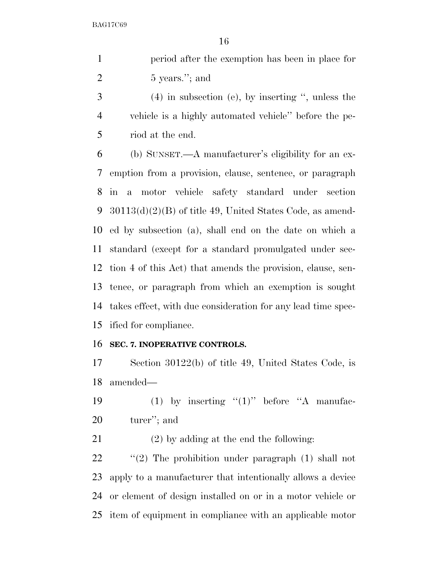period after the exemption has been in place for 2 5 years."; and

 (4) in subsection (e), by inserting '', unless the vehicle is a highly automated vehicle'' before the pe-riod at the end.

 (b) SUNSET.—A manufacturer's eligibility for an ex- emption from a provision, clause, sentence, or paragraph in a motor vehicle safety standard under section 30113(d)(2)(B) of title 49, United States Code, as amend- ed by subsection (a), shall end on the date on which a standard (except for a standard promulgated under sec- tion 4 of this Act) that amends the provision, clause, sen- tence, or paragraph from which an exemption is sought takes effect, with due consideration for any lead time spec-ified for compliance.

### **SEC. 7. INOPERATIVE CONTROLS.**

 Section 30122(b) of title 49, United States Code, is amended—

19  $(1)$  by inserting " $(1)$ " before "A manufac-turer''; and

(2) by adding at the end the following:

22 "(2) The prohibition under paragraph (1) shall not apply to a manufacturer that intentionally allows a device or element of design installed on or in a motor vehicle or item of equipment in compliance with an applicable motor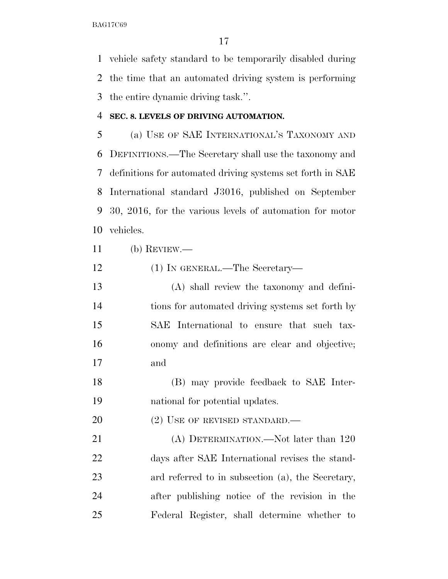vehicle safety standard to be temporarily disabled during the time that an automated driving system is performing the entire dynamic driving task.''.

# **SEC. 8. LEVELS OF DRIVING AUTOMATION.**

 (a) USE OF SAE INTERNATIONAL'S TAXONOMY AND DEFINITIONS.—The Secretary shall use the taxonomy and definitions for automated driving systems set forth in SAE International standard J3016, published on September 30, 2016, for the various levels of automation for motor vehicles.

- (b) REVIEW.—
- (1) IN GENERAL.—The Secretary—
- (A) shall review the taxonomy and defini- tions for automated driving systems set forth by SAE International to ensure that such tax- onomy and definitions are clear and objective; and
- (B) may provide feedback to SAE Inter-national for potential updates.
- 20 (2) USE OF REVISED STANDARD.—

21 (A) DETERMINATION.—Not later than 120 days after SAE International revises the stand- ard referred to in subsection (a), the Secretary, after publishing notice of the revision in the Federal Register, shall determine whether to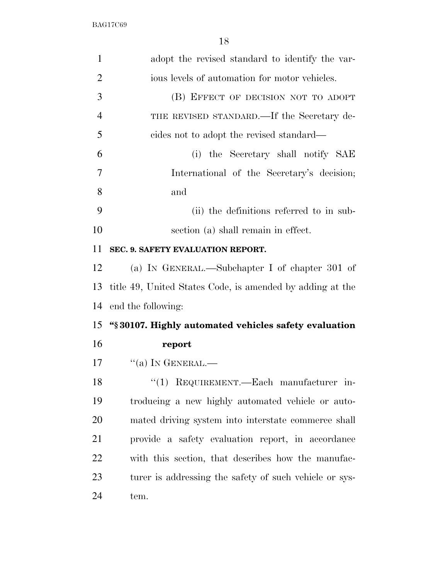| $\mathbf{1}$   | adopt the revised standard to identify the var-           |
|----------------|-----------------------------------------------------------|
| $\overline{2}$ | ious levels of automation for motor vehicles.             |
| 3              | (B) EFFECT OF DECISION NOT TO ADOPT                       |
| $\overline{4}$ | THE REVISED STANDARD.—If the Secretary de-                |
| 5              | cides not to adopt the revised standard—                  |
| 6              | (i) the Secretary shall notify SAE                        |
| 7              | International of the Secretary's decision;                |
| 8              | and                                                       |
| 9              | (ii) the definitions referred to in sub-                  |
| 10             | section (a) shall remain in effect.                       |
| 11             | SEC. 9. SAFETY EVALUATION REPORT.                         |
| 12             | (a) IN GENERAL.—Subchapter I of chapter 301 of            |
| 13             | title 49, United States Code, is amended by adding at the |
| 14             | end the following:                                        |
| 15             | "§30107. Highly automated vehicles safety evaluation      |
| 16             | report                                                    |
| 17             | $``(a)$ In GENERAL.—                                      |
| 18             | "(1) REQUIREMENT.—Each manufacturer in-                   |
| 19             | troducing a new highly automated vehicle or auto-         |
| 20             | mated driving system into interstate commerce shall       |
| 21             | provide a safety evaluation report, in accordance         |
| 22             | with this section, that describes how the manufac-        |
| 23             | turer is addressing the safety of such vehicle or sys-    |
| 24             | tem.                                                      |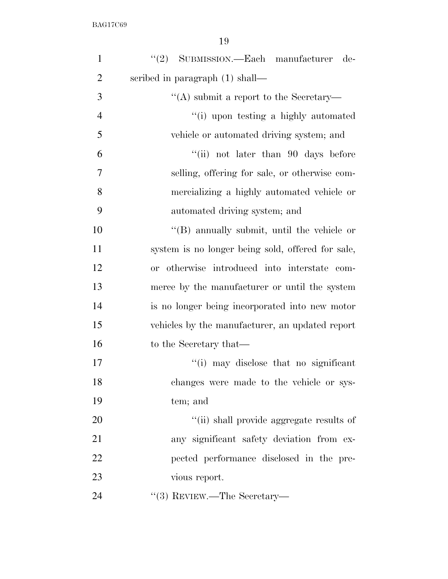| $\mathbf{1}$   | $"(2)$ SUBMISSION.—Each manufacturer<br>de-        |
|----------------|----------------------------------------------------|
| $\overline{2}$ | scribed in paragraph $(1)$ shall—                  |
| 3              | "(A) submit a report to the Secretary—             |
| $\overline{4}$ | "(i) upon testing a highly automated               |
| 5              | vehicle or automated driving system; and           |
| 6              | "(ii) not later than $90$ days before              |
| 7              | selling, offering for sale, or otherwise com-      |
| 8              | mercializing a highly automated vehicle or         |
| 9              | automated driving system; and                      |
| 10             | $\lq\lq$ (B) annually submit, until the vehicle or |
| 11             | system is no longer being sold, offered for sale,  |
| 12             | or otherwise introduced into interstate com-       |
| 13             | merce by the manufacturer or until the system      |
| 14             | is no longer being incorporated into new motor     |
| 15             | vehicles by the manufacturer, an updated report    |
| 16             | to the Secretary that—                             |
| 17             | "(i) may disclose that no significant              |
| 18             | changes were made to the vehicle or sys-           |
| 19             | tem; and                                           |
| 20             | "(ii) shall provide aggregate results of           |
| 21             | any significant safety deviation from ex-          |
| 22             | pected performance disclosed in the pre-           |
| 23             | vious report.                                      |
| 24             | $\cdot\cdot$ (3) REVIEW.—The Secretary—            |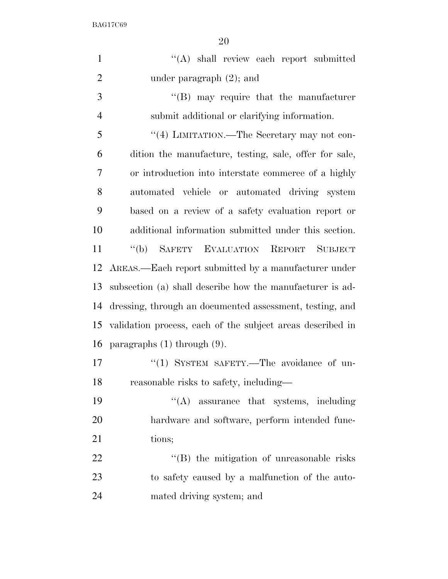| $\mathbf{1}$   | "(A) shall review each report submitted                    |
|----------------|------------------------------------------------------------|
| $\overline{2}$ | under paragraph $(2)$ ; and                                |
| 3              | $\lq\lq(B)$ may require that the manufacturer              |
| $\overline{4}$ | submit additional or clarifying information.               |
| 5              | "(4) LIMITATION.—The Secretary may not con-                |
| 6              | dition the manufacture, testing, sale, offer for sale,     |
| 7              | or introduction into interstate commerce of a highly       |
| 8              | automated vehicle or automated driving system              |
| 9              | based on a review of a safety evaluation report or         |
| 10             | additional information submitted under this section.       |
| 11             | SAFETY EVALUATION REPORT<br>$\lq\lq(b)$<br><b>SUBJECT</b>  |
| 12             | AREAS.—Each report submitted by a manufacturer under       |
| 13             | subsection (a) shall describe how the manufacturer is ad-  |
| 14             | dressing, through an documented assessment, testing, and   |
| 15             | validation process, each of the subject areas described in |
| 16             | paragraphs $(1)$ through $(9)$ .                           |
|                |                                                            |

- 17 "(1) SYSTEM SAFETY.—The avoidance of un-18 reasonable risks to safety, including—
- 19  $\text{``(A)}$  assurance that systems, including hardware and software, perform intended func-21 tions;

22 ''(B) the mitigation of unreasonable risks to safety caused by a malfunction of the auto-mated driving system; and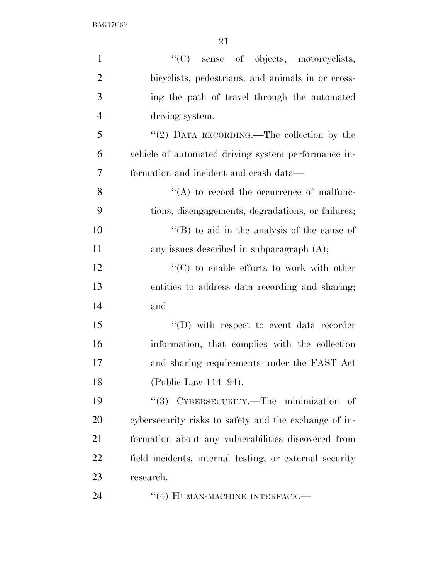| $\mathbf{1}$   | "(C) sense of objects, motorcyclists,                   |
|----------------|---------------------------------------------------------|
| $\overline{2}$ | bicyclists, pedestrians, and animals in or cross-       |
| 3              | ing the path of travel through the automated            |
| $\overline{4}$ | driving system.                                         |
| 5              | "(2) DATA RECORDING.—The collection by the              |
| 6              | vehicle of automated driving system performance in-     |
| 7              | formation and incident and crash data—                  |
| 8              | $\lq\lq$ to record the occurrence of malfunc-           |
| 9              | tions, disengagements, degradations, or failures;       |
| 10             | "(B) to aid in the analysis of the cause of             |
| 11             | any issues described in subparagraph $(A)$ ;            |
| 12             | $\lq\lq$ to enable efforts to work with other           |
| 13             | entities to address data recording and sharing;         |
| 14             | and                                                     |
| 15             | $\lq\lq$ with respect to event data recorder            |
| 16             | information, that complies with the collection          |
| 17             | and sharing requirements under the FAST Act             |
| 18             | (Public Law 114-94).                                    |
| 19             | CYBERSECURITY.—The minimization of<br>(3)               |
| 20             | cybersecurity risks to safety and the exchange of in-   |
| 21             | formation about any vulnerabilities discovered from     |
| 22             | field incidents, internal testing, or external security |
| 23             | research.                                               |
| 24             | "(4) HUMAN-MACHINE INTERFACE.—                          |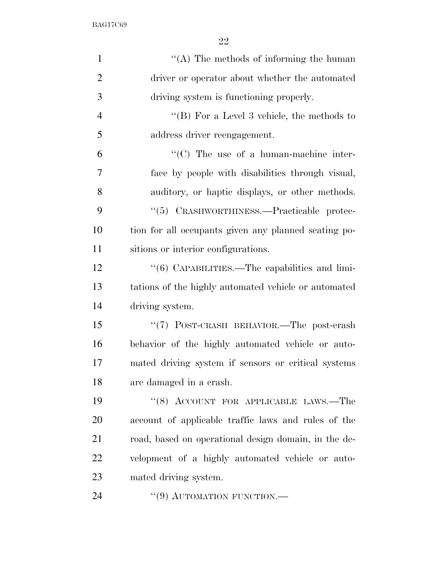| $\mathbf{1}$   | "(A) The methods of informing the human              |
|----------------|------------------------------------------------------|
| $\overline{2}$ | driver or operator about whether the automated       |
| 3              | driving system is functioning properly.              |
| $\overline{4}$ | "(B) For a Level 3 vehicle, the methods to           |
| 5              | address driver reengagement.                         |
| 6              | $\lq\lq$ (C) The use of a human-machine inter-       |
| 7              | face by people with disabilities through visual,     |
| 8              | auditory, or haptic displays, or other methods.      |
| 9              | "(5) CRASHWORTHINESS.—Practicable protec-            |
| 10             | tion for all occupants given any planned seating po- |
| 11             | sitions or interior configurations.                  |
| 12             | "(6) CAPABILITIES.—The capabilities and limi-        |
| 13             | tations of the highly automated vehicle or automated |
| 14             | driving system.                                      |
| 15             | "(7) POST-CRASH BEHAVIOR.—The post-crash             |
| 16             | behavior of the highly automated vehicle or auto-    |
| 17             | mated driving system if sensors or critical systems  |
| 18             | are damaged in a crash.                              |
| 19             | " $(8)$ ACCOUNT FOR APPLICABLE LAWS.—The             |
| 20             | account of applicable traffic laws and rules of the  |
| 21             | road, based on operational design domain, in the de- |
| 22             | velopment of a highly automated vehicle or auto-     |
| 23             | mated driving system.                                |
| 24             | $``(9)$ AUTOMATION FUNCTION.—                        |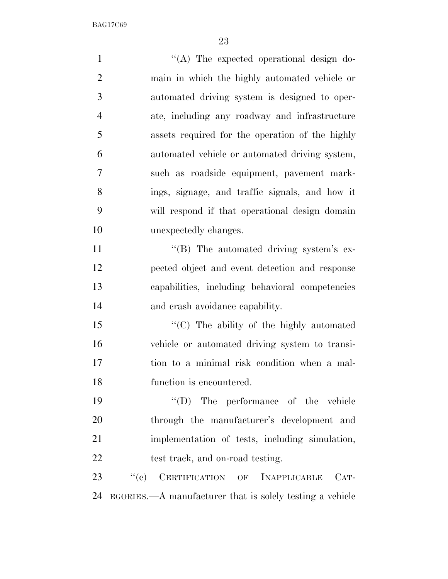$\langle (A)$  The expected operational design do- main in which the highly automated vehicle or automated driving system is designed to oper- ate, including any roadway and infrastructure assets required for the operation of the highly automated vehicle or automated driving system, such as roadside equipment, pavement mark- ings, signage, and traffic signals, and how it will respond if that operational design domain unexpectedly changes.  $''(B)$  The automated driving system's ex- pected object and event detection and response capabilities, including behavioral competencies and crash avoidance capability. ''(C) The ability of the highly automated vehicle or automated driving system to transi- tion to a minimal risk condition when a mal- function is encountered. ''(D) The performance of the vehicle through the manufacturer's development and implementation of tests, including simulation, 22 test track, and on-road testing. 23 "(c) CERTIFICATION OF INAPPLICABLE CAT-EGORIES.—A manufacturer that is solely testing a vehicle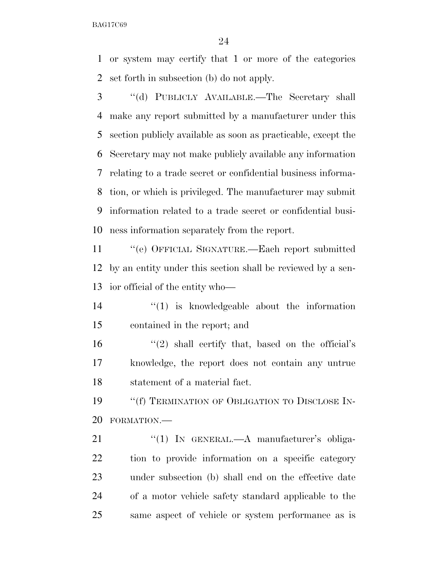or system may certify that 1 or more of the categories set forth in subsection (b) do not apply.

 ''(d) PUBLICLY AVAILABLE.—The Secretary shall make any report submitted by a manufacturer under this section publicly available as soon as practicable, except the Secretary may not make publicly available any information relating to a trade secret or confidential business informa- tion, or which is privileged. The manufacturer may submit information related to a trade secret or confidential busi-ness information separately from the report.

 ''(e) OFFICIAL SIGNATURE.—Each report submitted by an entity under this section shall be reviewed by a sen-ior official of the entity who—

 $\binom{14}{1}$  is knowledgeable about the information contained in the report; and

 $\frac{16}{2}$  ''(2) shall certify that, based on the official's knowledge, the report does not contain any untrue statement of a material fact.

19 "'(f) TERMINATION OF OBLIGATION TO DISCLOSE IN-FORMATION.—

21 "(1) IN GENERAL.—A manufacturer's obliga- tion to provide information on a specific category under subsection (b) shall end on the effective date of a motor vehicle safety standard applicable to the same aspect of vehicle or system performance as is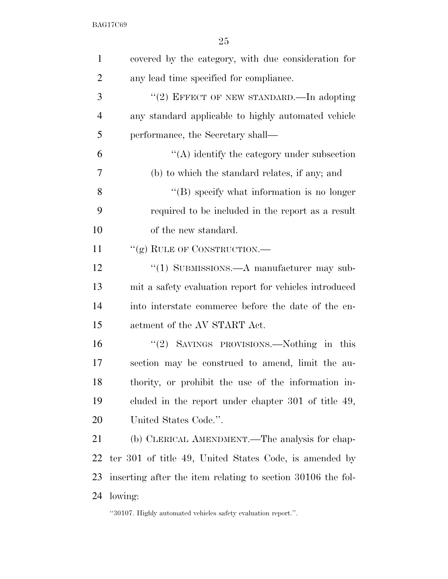| $\mathbf{1}$   | covered by the category, with due consideration for           |
|----------------|---------------------------------------------------------------|
| $\overline{2}$ | any lead time specified for compliance.                       |
| 3              | "(2) EFFECT OF NEW STANDARD.—In adopting                      |
| $\overline{4}$ | any standard applicable to highly automated vehicle           |
| 5              | performance, the Secretary shall—                             |
| 6              | $\lq\lq$ identify the category under subsection               |
| 7              | (b) to which the standard relates, if any; and                |
| 8              | $\lq\lq (B)$ specify what information is no longer            |
| 9              | required to be included in the report as a result             |
| 10             | of the new standard.                                          |
| 11             | "(g) RULE OF CONSTRUCTION.—                                   |
| 12             | "(1) SUBMISSIONS.—A manufacturer may sub-                     |
| 13             | mit a safety evaluation report for vehicles introduced        |
| 14             | into interstate commerce before the date of the en-           |
| 15             | actment of the AV START Act.                                  |
| 16             | "(2) SAVINGS PROVISIONS.—Nothing in this                      |
| 17             | section may be construed to amend, limit the au-              |
| 18             | thority, or prohibit the use of the information in-           |
| 19             | cluded in the report under chapter 301 of title 49,           |
| 20             | United States Code.".                                         |
| 21             | (b) CLERICAL AMENDMENT.—The analysis for chap-                |
| 22             | ter 301 of title 49, United States Code, is amended by        |
| 23             | inserting after the item relating to section 30106 the fol-   |
| 24             | lowing:                                                       |
|                | "30107. Highly automated vehicles safety evaluation report.". |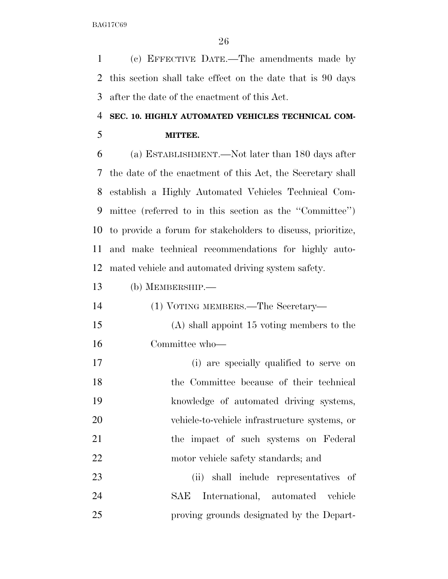(c) EFFECTIVE DATE.—The amendments made by this section shall take effect on the date that is 90 days after the date of the enactment of this Act.

# **SEC. 10. HIGHLY AUTOMATED VEHICLES TECHNICAL COM-MITTEE.**

 (a) ESTABLISHMENT.—Not later than 180 days after the date of the enactment of this Act, the Secretary shall establish a Highly Automated Vehicles Technical Com- mittee (referred to in this section as the ''Committee'') to provide a forum for stakeholders to discuss, prioritize, and make technical recommendations for highly auto-mated vehicle and automated driving system safety.

- (b) MEMBERSHIP.—
- (1) VOTING MEMBERS.—The Secretary— (A) shall appoint 15 voting members to the Committee who— (i) are specially qualified to serve on
- the Committee because of their technical knowledge of automated driving systems, vehicle-to-vehicle infrastructure systems, or the impact of such systems on Federal 22 motor vehicle safety standards; and

 (ii) shall include representatives of SAE International, automated vehicle proving grounds designated by the Depart-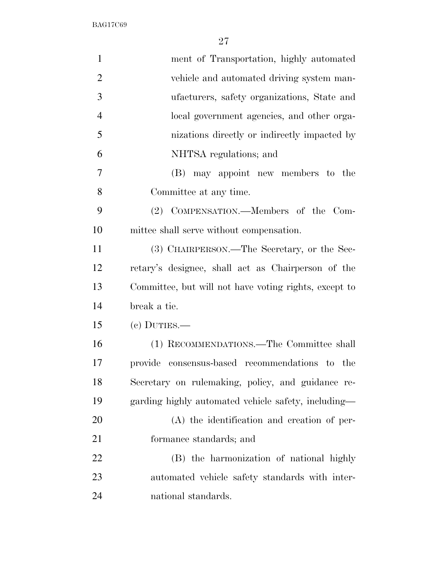| $\mathbf{1}$   | ment of Transportation, highly automated              |
|----------------|-------------------------------------------------------|
| $\overline{2}$ | vehicle and automated driving system man-             |
| 3              | ufacturers, safety organizations, State and           |
| $\overline{4}$ | local government agencies, and other orga-            |
| 5              | nizations directly or indirectly impacted by          |
| 6              | NHTSA regulations; and                                |
| 7              | (B) may appoint new members to the                    |
| 8              | Committee at any time.                                |
| 9              | (2) COMPENSATION.—Members of the Com-                 |
| 10             | mittee shall serve without compensation.              |
| 11             | (3) CHAIRPERSON.—The Secretary, or the Sec-           |
| 12             | retary's designee, shall act as Chairperson of the    |
| 13             | Committee, but will not have voting rights, except to |
| 14             | break a tie.                                          |
| 15             | $(e)$ DUTIES.—                                        |
| 16             | (1) RECOMMENDATIONS.—The Committee shall              |
| 17             | provide consensus-based recommendations to the        |
| 18             | Secretary on rulemaking, policy, and guidance re-     |
| 19             | garding highly automated vehicle safety, including—   |
| <b>20</b>      | (A) the identification and creation of per-           |
| 21             | formance standards; and                               |
| 22             | (B) the harmonization of national highly              |
| 23             | automated vehicle safety standards with inter-        |
| 24             | national standards.                                   |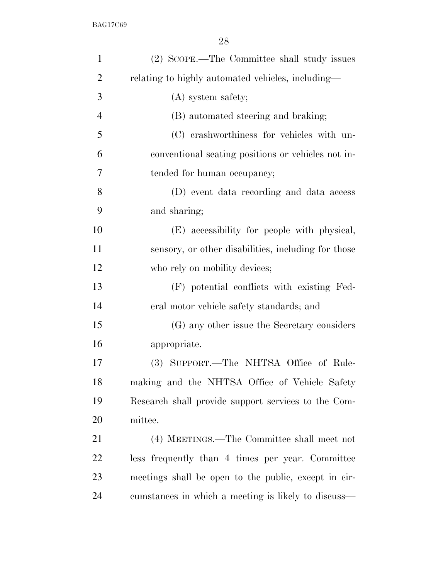| $\mathbf{1}$   | (2) SCOPE.—The Committee shall study issues          |
|----------------|------------------------------------------------------|
| $\overline{2}$ | relating to highly automated vehicles, including—    |
| 3              | (A) system safety;                                   |
| $\overline{4}$ | (B) automated steering and braking;                  |
| 5              | (C) crashworthiness for vehicles with un-            |
| 6              | conventional seating positions or vehicles not in-   |
| 7              | tended for human occupancy;                          |
| 8              | (D) event data recording and data access             |
| 9              | and sharing;                                         |
| 10             | (E) accessibility for people with physical,          |
| 11             | sensory, or other disabilities, including for those  |
| 12             | who rely on mobility devices;                        |
| 13             | (F) potential conflicts with existing Fed-           |
| 14             | eral motor vehicle safety standards; and             |
| 15             | (G) any other issue the Secretary considers          |
| 16             | appropriate.                                         |
| 17             | (3) SUPPORT.—The NHTSA Office of Rule-               |
| 18             | making and the NHTSA Office of Vehicle Safety        |
| 19             | Research shall provide support services to the Com-  |
| 20             | mittee.                                              |
| 21             | (4) MEETINGS.—The Committee shall meet not           |
| 22             | less frequently than 4 times per year. Committee     |
| 23             | meetings shall be open to the public, except in cir- |
| 24             | cumstances in which a meeting is likely to discuss—  |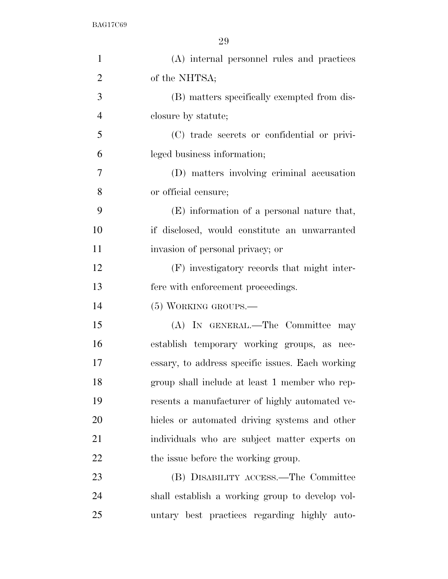| $\mathbf{1}$   | (A) internal personnel rules and practices       |
|----------------|--------------------------------------------------|
| $\overline{2}$ | of the NHTSA;                                    |
| 3              | (B) matters specifically exempted from dis-      |
| $\overline{4}$ | closure by statute;                              |
| 5              | (C) trade secrets or confidential or privi-      |
| 6              | leged business information;                      |
| 7              | (D) matters involving criminal accusation        |
| 8              | or official censure;                             |
| 9              | (E) information of a personal nature that,       |
| 10             | if disclosed, would constitute an unwarranted    |
| 11             | invasion of personal privacy; or                 |
| 12             | (F) investigatory records that might inter-      |
| 13             | fere with enforcement proceedings.               |
| 14             | $(5)$ WORKING GROUPS.—                           |
| 15             | (A) IN GENERAL.—The Committee may                |
| 16             | establish temporary working groups, as nec-      |
| 17             | essary, to address specific issues. Each working |
| 18             | group shall include at least 1 member who rep-   |
| 19             | resents a manufacturer of highly automated ve-   |
| 20             | hicles or automated driving systems and other    |
| 21             | individuals who are subject matter experts on    |
| 22             | the issue before the working group.              |
| 23             | (B) DISABILITY ACCESS.—The Committee             |
| 24             | shall establish a working group to develop vol-  |
| 25             | untary best practices regarding highly auto-     |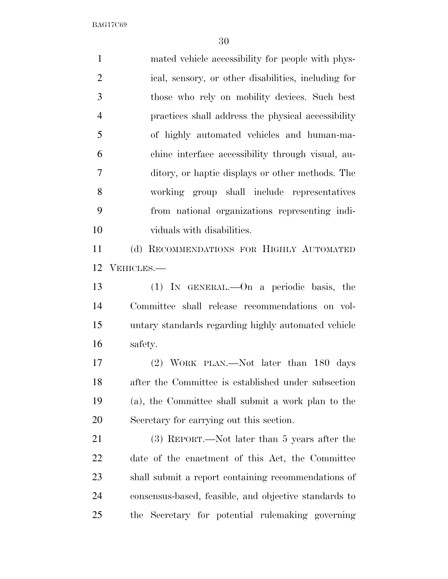mated vehicle accessibility for people with phys- ical, sensory, or other disabilities, including for those who rely on mobility devices. Such best practices shall address the physical accessibility of highly automated vehicles and human-ma- chine interface accessibility through visual, au- ditory, or haptic displays or other methods. The working group shall include representatives from national organizations representing indi- viduals with disabilities. (d) RECOMMENDATIONS FOR HIGHLY AUTOMATED VEHICLES.— (1) IN GENERAL.—On a periodic basis, the Committee shall release recommendations on vol- untary standards regarding highly automated vehicle safety. (2) WORK PLAN.—Not later than 180 days after the Committee is established under subsection (a), the Committee shall submit a work plan to the Secretary for carrying out this section. (3) REPORT.—Not later than 5 years after the date of the enactment of this Act, the Committee shall submit a report containing recommendations of consensus-based, feasible, and objective standards to

the Secretary for potential rulemaking governing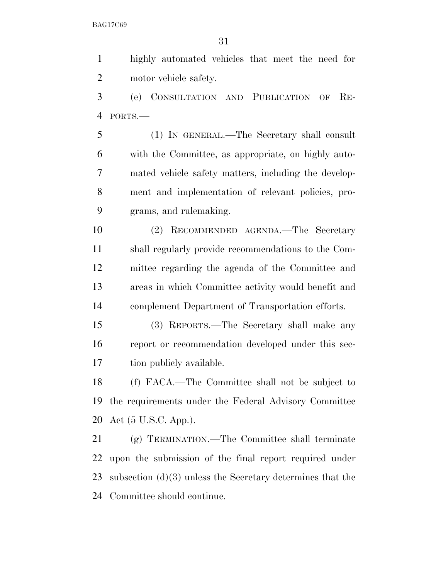highly automated vehicles that meet the need for motor vehicle safety.

 (e) CONSULTATION AND PUBLICATION OF RE-PORTS.—

 (1) IN GENERAL.—The Secretary shall consult with the Committee, as appropriate, on highly auto- mated vehicle safety matters, including the develop- ment and implementation of relevant policies, pro-grams, and rulemaking.

 (2) RECOMMENDED AGENDA.—The Secretary shall regularly provide recommendations to the Com- mittee regarding the agenda of the Committee and areas in which Committee activity would benefit and complement Department of Transportation efforts.

 (3) REPORTS.—The Secretary shall make any report or recommendation developed under this sec-tion publicly available.

 (f) FACA.—The Committee shall not be subject to the requirements under the Federal Advisory Committee Act (5 U.S.C. App.).

 (g) TERMINATION.—The Committee shall terminate upon the submission of the final report required under subsection (d)(3) unless the Secretary determines that the Committee should continue.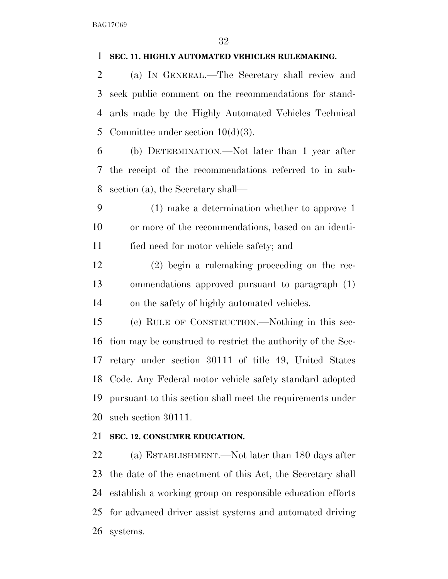### **SEC. 11. HIGHLY AUTOMATED VEHICLES RULEMAKING.**

 (a) IN GENERAL.—The Secretary shall review and seek public comment on the recommendations for stand- ards made by the Highly Automated Vehicles Technical 5 Committee under section  $10(d)(3)$ .

 (b) DETERMINATION.—Not later than 1 year after the receipt of the recommendations referred to in sub-section (a), the Secretary shall—

 (1) make a determination whether to approve 1 or more of the recommendations, based on an identi-fied need for motor vehicle safety; and

 (2) begin a rulemaking proceeding on the rec- ommendations approved pursuant to paragraph (1) on the safety of highly automated vehicles.

 (c) RULE OF CONSTRUCTION.—Nothing in this sec- tion may be construed to restrict the authority of the Sec- retary under section 30111 of title 49, United States Code. Any Federal motor vehicle safety standard adopted pursuant to this section shall meet the requirements under such section 30111.

### **SEC. 12. CONSUMER EDUCATION.**

 (a) ESTABLISHMENT.—Not later than 180 days after the date of the enactment of this Act, the Secretary shall establish a working group on responsible education efforts for advanced driver assist systems and automated driving systems.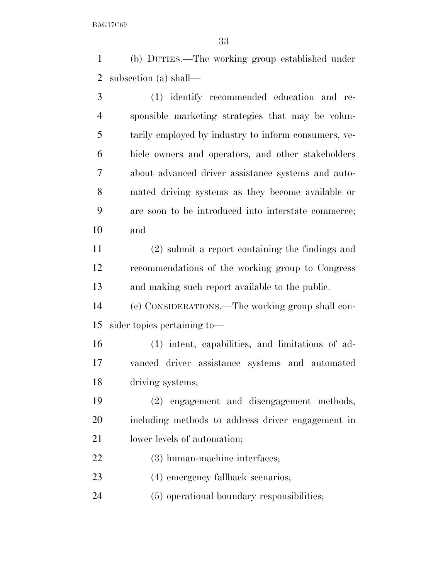(b) DUTIES.—The working group established under subsection (a) shall—

 (1) identify recommended education and re- sponsible marketing strategies that may be volun- tarily employed by industry to inform consumers, ve- hicle owners and operators, and other stakeholders about advanced driver assistance systems and auto- mated driving systems as they become available or are soon to be introduced into interstate commerce; and

 (2) submit a report containing the findings and recommendations of the working group to Congress and making such report available to the public.

 (c) CONSIDERATIONS.—The working group shall con-sider topics pertaining to—

 (1) intent, capabilities, and limitations of ad- vanced driver assistance systems and automated driving systems;

 (2) engagement and disengagement methods, including methods to address driver engagement in 21 lower levels of automation;

(3) human-machine interfaces;

23 (4) emergency fallback scenarios;

(5) operational boundary responsibilities;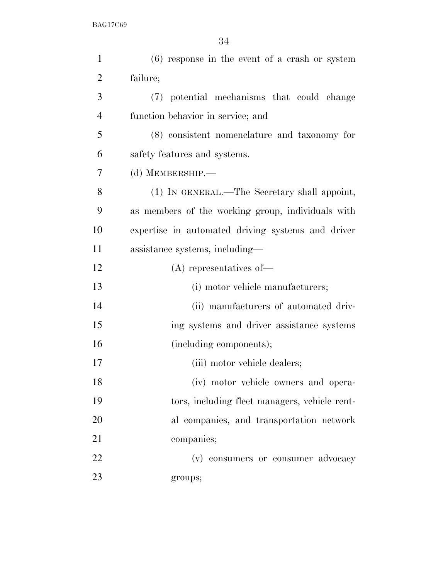| $\mathbf{1}$   | $(6)$ response in the event of a crash or system  |
|----------------|---------------------------------------------------|
| $\overline{2}$ | failure;                                          |
| 3              | (7) potential mechanisms that could change        |
| $\overline{4}$ | function behavior in service; and                 |
| 5              | (8) consistent nomenclature and taxonomy for      |
| 6              | safety features and systems.                      |
| 7              | (d) MEMBERSHIP.-                                  |
| 8              | (1) IN GENERAL.—The Secretary shall appoint,      |
| 9              | as members of the working group, individuals with |
| 10             | expertise in automated driving systems and driver |
| 11             | assistance systems, including—                    |
| 12             | $(A)$ representatives of —                        |
| 13             | (i) motor vehicle manufacturers;                  |
| 14             | (ii) manufacturers of automated driv-             |
| 15             | ing systems and driver assistance systems         |
| 16             | (including components);                           |
| 17             | (iii) motor vehicle dealers;                      |
| 18             | (iv) motor vehicle owners and opera-              |
| 19             | tors, including fleet managers, vehicle rent-     |
| 20             | al companies, and transportation network          |
| 21             | companies;                                        |
| 22             | (v) consumers or consumer advocacy                |
| 23             | groups;                                           |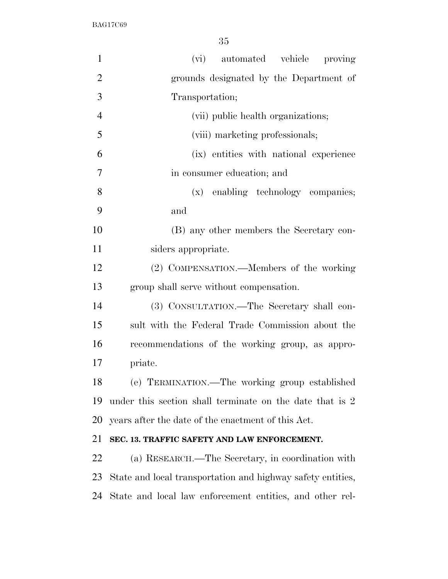| $\mathbf{1}$   | (vi) automated vehicle proving                              |
|----------------|-------------------------------------------------------------|
| $\overline{2}$ | grounds designated by the Department of                     |
| 3              | Transportation;                                             |
| $\overline{4}$ | (vii) public health organizations;                          |
| 5              | (viii) marketing professionals;                             |
| 6              | (ix) entities with national experience                      |
| 7              | in consumer education; and                                  |
| 8              | (x) enabling technology companies;                          |
| 9              | and                                                         |
| 10             | (B) any other members the Secretary con-                    |
| 11             | siders appropriate.                                         |
| 12             | (2) COMPENSATION.—Members of the working                    |
| 13             | group shall serve without compensation.                     |
| 14             | (3) CONSULTATION.—The Secretary shall con-                  |
| 15             | sult with the Federal Trade Commission about the            |
| 16             | recommendations of the working group, as appro-             |
| 17             | priate.                                                     |
| 18             | (e) TERMINATION.—The working group established              |
| 19             | under this section shall terminate on the date that is 2    |
| 20             | years after the date of the enactment of this Act.          |
| 21             | SEC. 13. TRAFFIC SAFETY AND LAW ENFORCEMENT.                |
| 22             | (a) RESEARCH.—The Secretary, in coordination with           |
| 23             | State and local transportation and highway safety entities, |
| 24             | State and local law enforcement entities, and other rel-    |
|                |                                                             |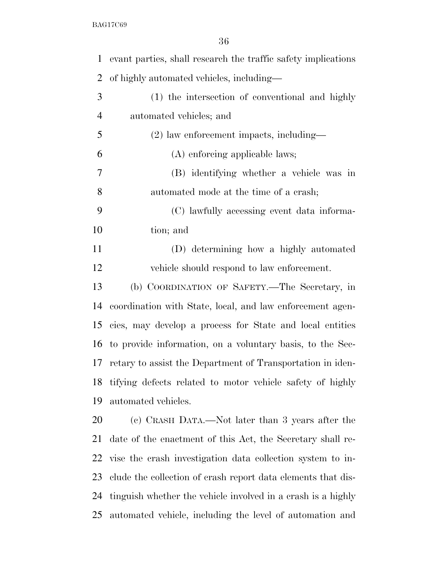| $\mathbf 1$    | evant parties, shall research the traffic safety implications |
|----------------|---------------------------------------------------------------|
| $\overline{2}$ | of highly automated vehicles, including—                      |
| 3              | (1) the intersection of conventional and highly               |
| $\overline{4}$ | automated vehicles; and                                       |
| 5              | $(2)$ law enforcement impacts, including—                     |
| 6              | (A) enforcing applicable laws;                                |
| 7              | (B) identifying whether a vehicle was in                      |
| 8              | automated mode at the time of a crash;                        |
| 9              | (C) lawfully accessing event data informa-                    |
| 10             | tion; and                                                     |
| 11             | (D) determining how a highly automated                        |
| 12             | vehicle should respond to law enforcement.                    |
| 13             | (b) COORDINATION OF SAFETY.—The Secretary, in                 |
| 14             | coordination with State, local, and law enforcement agen-     |
| 15             | cies, may develop a process for State and local entities      |
| 16             | to provide information, on a voluntary basis, to the Sec-     |
| 17             | retary to assist the Department of Transportation in iden-    |
| 18             | tifying defects related to motor vehicle safety of highly     |
| 19             | automated vehicles.                                           |
| 20             | (c) CRASH DATA.—Not later than 3 years after the              |
| 21             | date of the enactment of this Act, the Secretary shall re-    |
| 22             | vise the crash investigation data collection system to in-    |
| 23             | clude the collection of crash report data elements that dis-  |
| 24             | tinguish whether the vehicle involved in a crash is a highly  |
| 25             | automated vehicle, including the level of automation and      |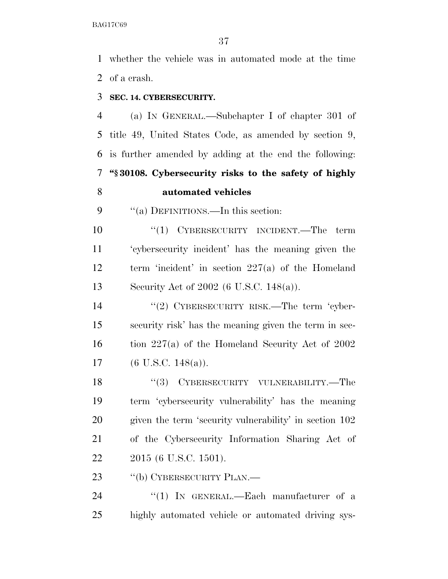whether the vehicle was in automated mode at the time of a crash.

### **SEC. 14. CYBERSECURITY.**

 (a) IN GENERAL.—Subchapter I of chapter 301 of title 49, United States Code, as amended by section 9, is further amended by adding at the end the following: **''§ 30108. Cybersecurity risks to the safety of highly automated vehicles** 

9 "(a) DEFINITIONS.—In this section:

 ''(1) CYBERSECURITY INCIDENT.—The term 'cybersecurity incident' has the meaning given the term 'incident' in section 227(a) of the Homeland Security Act of 2002 (6 U.S.C. 148(a)).

14 "(2) CYBERSECURITY RISK.—The term 'cyber- security risk' has the meaning given the term in sec- tion 227(a) of the Homeland Security Act of 2002 (6 U.S.C. 148(a)).

18 "(3) CYBERSECURITY VULNERABILITY.—The term 'cybersecurity vulnerability' has the meaning given the term 'security vulnerability' in section 102 of the Cybersecurity Information Sharing Act of 2015 (6 U.S.C. 1501).

23 "(b) CYBERSECURITY PLAN.—

24 "(1) IN GENERAL.—Each manufacturer of a highly automated vehicle or automated driving sys-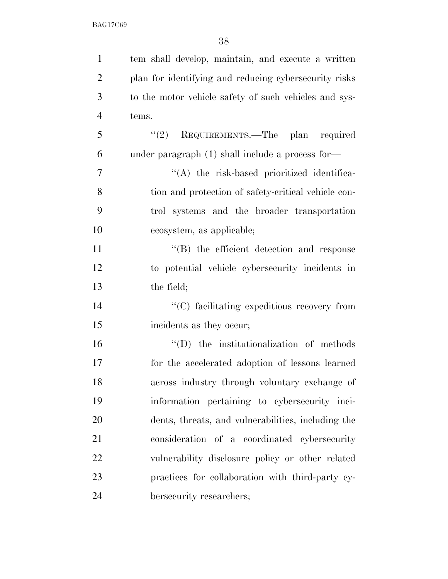| $\mathbf{1}$   | tem shall develop, maintain, and execute a written    |
|----------------|-------------------------------------------------------|
| $\overline{2}$ | plan for identifying and reducing cybersecurity risks |
| 3              | to the motor vehicle safety of such vehicles and sys- |
| $\overline{4}$ | tems.                                                 |
| 5              | "(2) REQUIREMENTS.—The plan required                  |
| 6              | under paragraph $(1)$ shall include a process for-    |
| 7              | "(A) the risk-based prioritized identifica-           |
| 8              | tion and protection of safety-critical vehicle con-   |
| 9              | trol systems and the broader transportation           |
| 10             | ecosystem, as applicable;                             |
| 11             | "(B) the efficient detection and response             |
| 12             | to potential vehicle cybersecurity incidents in       |
| 13             | the field;                                            |
| 14             | "(C) facilitating expeditious recovery from           |
| 15             | incidents as they occur;                              |
| 16             | $\lq\lq$ the institutionalization of methods          |
| 17             | for the accelerated adoption of lessons learned       |
| 18             | across industry through voluntary exchange of         |
| 19             | information pertaining to cybersecurity inci-         |
| 20             | dents, threats, and vulnerabilities, including the    |
| 21             | consideration of a coordinated cybersecurity          |
| 22             | vulnerability disclosure policy or other related      |
| 23             | practices for collaboration with third-party cy-      |
| 24             | bersecurity researchers;                              |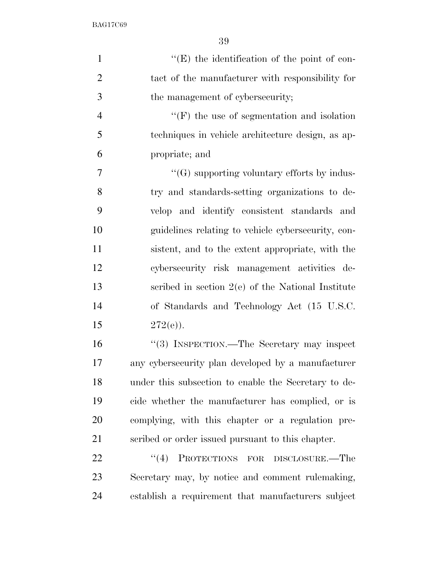| $\mathbf{1}$   | $\lq\lq(E)$ the identification of the point of con-  |
|----------------|------------------------------------------------------|
| $\overline{2}$ | tact of the manufacturer with responsibility for     |
| 3              | the management of cybersecurity;                     |
| $\overline{4}$ | $\lq\lq(F)$ the use of segmentation and isolation    |
| 5              | techniques in vehicle architecture design, as ap-    |
| 6              | propriate; and                                       |
| $\overline{7}$ | $\lq\lq(G)$ supporting voluntary efforts by indus-   |
| 8              | try and standards-setting organizations to de-       |
| 9              | velop and identify consistent standards and          |
| 10             | guidelines relating to vehicle cybersecurity, con-   |
| 11             | sistent, and to the extent appropriate, with the     |
| 12             | cybersecurity risk management activities de-         |
| 13             | scribed in section $2(e)$ of the National Institute  |
| 14             | of Standards and Technology Act (15 U.S.C.           |
| 15             | $272(e)$ ).                                          |
| 16             | "(3) INSPECTION.—The Secretary may inspect           |
| 17             | any cybersecurity plan developed by a manufacturer   |
| 18             | under this subsection to enable the Secretary to de- |
| 19             | cide whether the manufacturer has complied, or is    |
| 20             | complying, with this chapter or a regulation pre-    |
| 21             | scribed or order issued pursuant to this chapter.    |
| 22             | (4)<br>PROTECTIONS FOR<br>DISCLOSURE.—The            |
| 23             | Secretary may, by notice and comment rulemaking,     |
| 24             | establish a requirement that manufacturers subject   |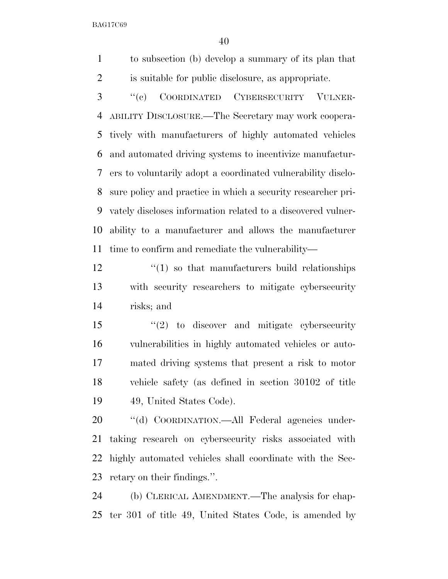to subsection (b) develop a summary of its plan that is suitable for public disclosure, as appropriate.

 ''(c) COORDINATED CYBERSECURITY VULNER- ABILITY DISCLOSURE.—The Secretary may work coopera- tively with manufacturers of highly automated vehicles and automated driving systems to incentivize manufactur- ers to voluntarily adopt a coordinated vulnerability disclo- sure policy and practice in which a security researcher pri- vately discloses information related to a discovered vulner- ability to a manufacturer and allows the manufacturer time to confirm and remediate the vulnerability—

 $\binom{12}{1}$  so that manufacturers build relationships with security researchers to mitigate cybersecurity risks; and

 ''(2) to discover and mitigate cybersecurity vulnerabilities in highly automated vehicles or auto- mated driving systems that present a risk to motor vehicle safety (as defined in section 30102 of title 49, United States Code).

 ''(d) COORDINATION.—All Federal agencies under- taking research on cybersecurity risks associated with highly automated vehicles shall coordinate with the Sec-retary on their findings.''.

 (b) CLERICAL AMENDMENT.—The analysis for chap-ter 301 of title 49, United States Code, is amended by